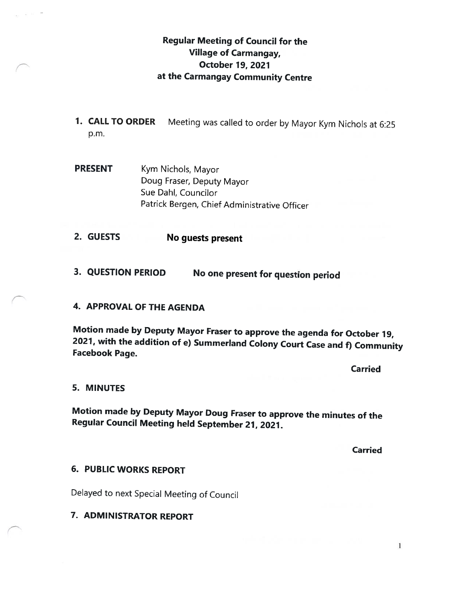# Regular Meeting of Council for the Village of Carmangay, October 19, 2027 at the Carmangay Community Centre

- 1. CALL TO ORDER Meeting was called to order by Mayor Kym Nichols at 6:25 p.m.
- PRESENT Kym Nichols, Mayor Doug Fraser, Deputy Mayor Sue Dahl, Councilor Patrick Bergen, Chief Administrative Officer
- 2. GUESTS No guests present
- 3. QUESTION PERIOD No one present for question period

## 4. APPROVAL OF THE AGENDA

Motion made by Deputy Mayor Fraser to approve the agenda for October 19, 2027, with the addition of e) Summerland Colony Court Case and f) Community Facebook Page.

Carried

#### 5. MINUTES

Motion made by Deputy Mayor Doug Fraser to approve the minutes of the Regular Council Meeting held September 27, 2021.

**Carried** 

## 6. PUBLIC WORKS REPORT

Delayed to next Special Meeting of Council

7. ADMINISTRATOR REPORT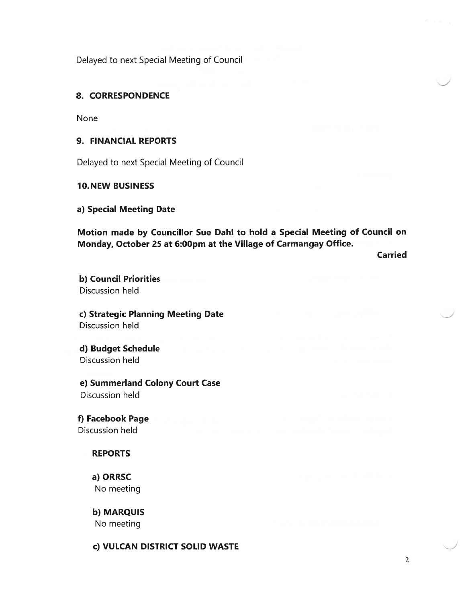Delayed to next Special Meeting of Council

## 8. CORRESPONDENCE

None

### 9. FINANCIAL REPORTS

Delayed to next Special Meeting of Council

#### 10.NEW BUSINESS

a) Special Meeting Date

Motion made by Councillor Sue DahI to hold <sup>a</sup> Special Meeting of Council on Monday, October 25 at 6:00pm at the Village of Carmangay Office.

Carried

b) Council Priorities Discussion held

c) Strategic Planning Meeting Date Discussion held

d) Budget Schedule Discussion held

e) Summerland Colony Court Case Discussion held

f) Facebook Page Discussion held

## REPORTS

a) ORRSC No meeting

b) MARQUIS No meeting

c) VULCAN DISTRICT SOLID WASTE